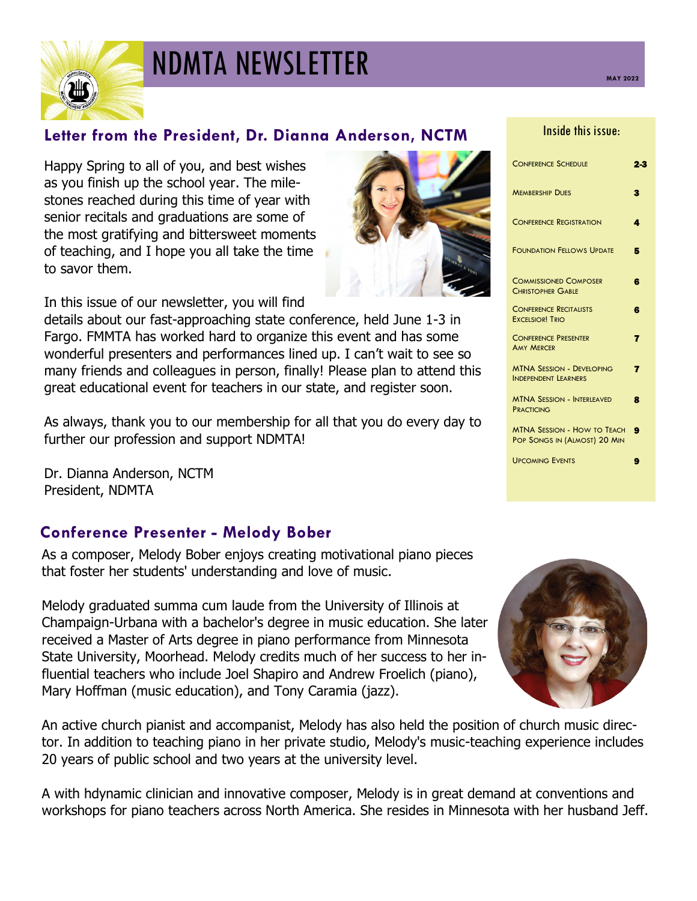

# **NDMTA NEWSLETTER** MAY 2022

## **Letter from the President, Dr. Dianna Anderson, NCTM**

Happy Spring to all of you, and best wishes as you finish up the school year. The milestones reached during this time of year with senior recitals and graduations are some of the most gratifying and bittersweet moments of teaching, and I hope you all take the time to savor them.

In this issue of our newsletter, you will find

details about our fast-approaching state conference, held June 1-3 in Fargo. FMMTA has worked hard to organize this event and has some wonderful presenters and performances lined up. I can't wait to see so many friends and colleagues in person, finally! Please plan to attend this great educational event for teachers in our state, and register soon.

As always, thank you to our membership for all that you do every day to further our profession and support NDMTA!

Dr. Dianna Anderson, NCTM President, NDMTA

#### **Conference Presenter - Melody Bober**

As a composer, Melody Bober enjoys creating motivational piano pieces that foster her students' understanding and love of music.

Melody graduated summa cum laude from the University of Illinois at Champaign-Urbana with a bachelor's degree in music education. She later received a Master of Arts degree in piano performance from Minnesota State University, Moorhead. Melody credits much of her success to her influential teachers who include Joel Shapiro and Andrew Froelich (piano), Mary Hoffman (music education), and Tony Caramia (jazz).

An active church pianist and accompanist, Melody has also held the position of church music director. In addition to teaching piano in her private studio, Melody's music-teaching experience includes 20 years of public school and two years at the university level.

A with hdynamic clinician and innovative composer, Melody is in great demand at conventions and workshops for piano teachers across North America. She resides in Minnesota with her husband Jeff.



| <b>CONFERENCE REGISTRATION</b>                                     | л |
|--------------------------------------------------------------------|---|
| <b>FOUNDATION FELLOWS UPDATE</b>                                   | Б |
| <b>COMMISSIONED COMPOSER</b><br><b>CHRISTOPHER GABLE</b>           | ß |
| <b>CONFERENCE RECITALISTS</b><br><b>EXCELSIOR! TRIO</b>            | ß |
| <b>CONFERENCE PRESENTER</b><br><b>AMY MERCER</b>                   | 7 |
| <b>MTNA SESSION - DEVELOPING</b><br><b>INDEPENDENT LEARNERS</b>    | 7 |
| <b>MTNA SESSION - INTERLEAVED</b><br><b>PRACTICING</b>             | 8 |
| <b>MTNA SESSION - HOW TO TEACH</b><br>POP SONGS IN (ALMOST) 20 MIN | Ω |
| <b>UPCOMING EVENTS</b>                                             | а |
|                                                                    |   |

CONFERENCE SCHEDULE 2-3

Inside this issue:

**MEMBERSHIP DUES** 3

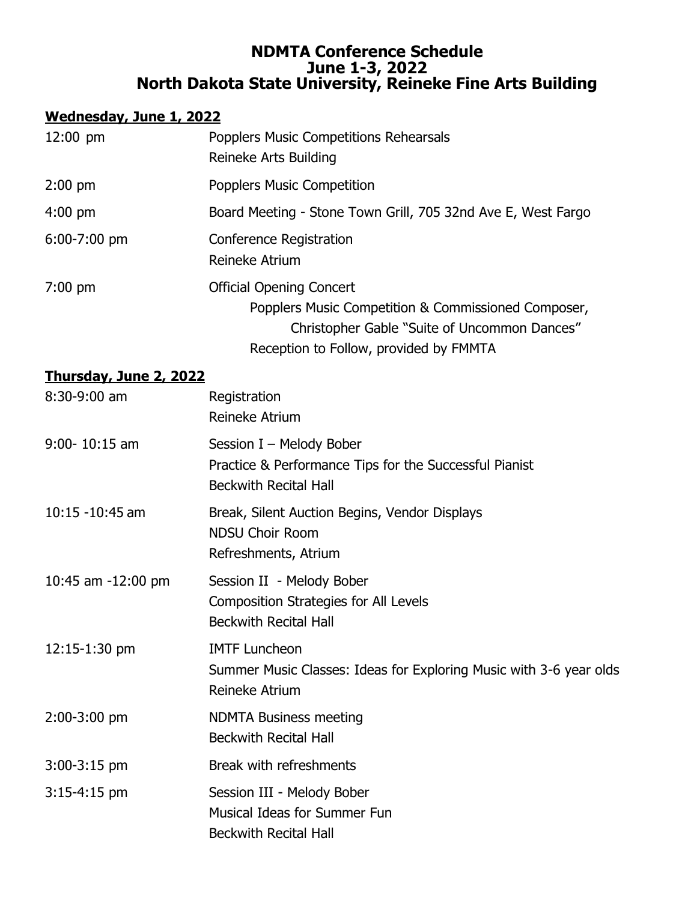#### **NDMTA Conference Schedule June 1-3, 2022 North Dakota State University, Reineke Fine Arts Building**

## **Wednesday, June 1, 2022**

| $12:00 \text{ pm}$ | <b>Popplers Music Competitions Rehearsals</b><br>Reineke Arts Building                                                                                                           |
|--------------------|----------------------------------------------------------------------------------------------------------------------------------------------------------------------------------|
| $2:00$ pm          | <b>Popplers Music Competition</b>                                                                                                                                                |
| $4:00 \text{ pm}$  | Board Meeting - Stone Town Grill, 705 32nd Ave E, West Fargo                                                                                                                     |
| $6:00-7:00$ pm     | Conference Registration<br>Reineke Atrium                                                                                                                                        |
| $7:00 \text{ pm}$  | <b>Official Opening Concert</b><br>Popplers Music Competition & Commissioned Composer,<br>Christopher Gable "Suite of Uncommon Dances"<br>Reception to Follow, provided by FMMTA |

#### **Thursday, June 2, 2022**

| 8:30-9:00 am       | Registration<br>Reineke Atrium                                                                                      |
|--------------------|---------------------------------------------------------------------------------------------------------------------|
| $9:00 - 10:15$ am  | Session I - Melody Bober<br>Practice & Performance Tips for the Successful Pianist<br><b>Beckwith Recital Hall</b>  |
| $10:15 - 10:45$ am | Break, Silent Auction Begins, Vendor Displays<br><b>NDSU Choir Room</b><br>Refreshments, Atrium                     |
| 10:45 am -12:00 pm | Session II - Melody Bober<br><b>Composition Strategies for All Levels</b><br><b>Beckwith Recital Hall</b>           |
| $12:15 - 1:30$ pm  | <b>IMTF Luncheon</b><br>Summer Music Classes: Ideas for Exploring Music with 3-6 year olds<br><b>Reineke Atrium</b> |
| 2:00-3:00 pm       | <b>NDMTA Business meeting</b><br><b>Beckwith Recital Hall</b>                                                       |
| $3:00-3:15$ pm     | Break with refreshments                                                                                             |
| $3:15-4:15$ pm     | Session III - Melody Bober<br><b>Musical Ideas for Summer Fun</b><br><b>Beckwith Recital Hall</b>                   |
|                    |                                                                                                                     |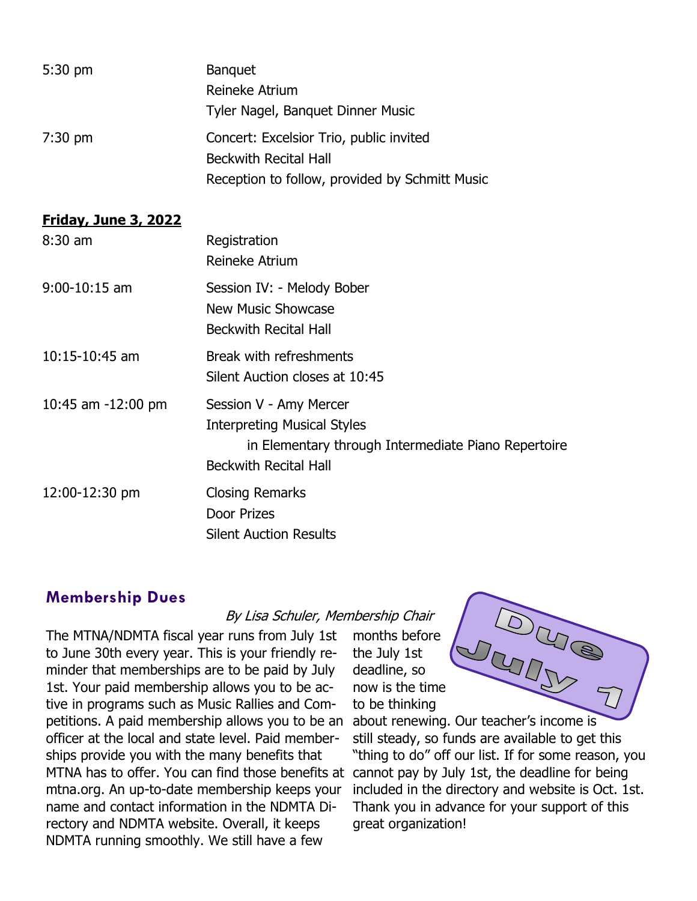| $5:30 \text{ pm}$ | <b>Banquet</b>                                 |
|-------------------|------------------------------------------------|
|                   | Reineke Atrium                                 |
|                   | Tyler Nagel, Banquet Dinner Music              |
| $7:30$ pm         | Concert: Excelsior Trio, public invited        |
|                   | <b>Beckwith Recital Hall</b>                   |
|                   | Reception to follow, provided by Schmitt Music |

#### **Friday, June 3, 2022**

| 8:30 am            | Registration<br>Reineke Atrium                                                                                                                      |
|--------------------|-----------------------------------------------------------------------------------------------------------------------------------------------------|
| 9:00-10:15 am      | Session IV: - Melody Bober<br>New Music Showcase<br><b>Beckwith Recital Hall</b>                                                                    |
| 10:15-10:45 am     | Break with refreshments<br>Silent Auction closes at 10:45                                                                                           |
| 10:45 am -12:00 pm | Session V - Amy Mercer<br><b>Interpreting Musical Styles</b><br>in Elementary through Intermediate Piano Repertoire<br><b>Beckwith Recital Hall</b> |
| 12:00-12:30 pm     | <b>Closing Remarks</b><br>Door Prizes<br><b>Silent Auction Results</b>                                                                              |

#### **Membership Dues**

By Lisa Schuler, Membership Chair

The MTNA/NDMTA fiscal year runs from July 1st to June 30th every year. This is your friendly reminder that memberships are to be paid by July 1st. Your paid membership allows you to be active in programs such as Music Rallies and Competitions. A paid membership allows you to be an officer at the local and state level. Paid memberships provide you with the many benefits that MTNA has to offer. You can find those benefits at cannot pay by July 1st, the deadline for being mtna.org. An up-to-date membership keeps your name and contact information in the NDMTA Directory and NDMTA website. Overall, it keeps NDMTA running smoothly. We still have a few

months before the July 1st deadline, so now is the time to be thinking



**DURE**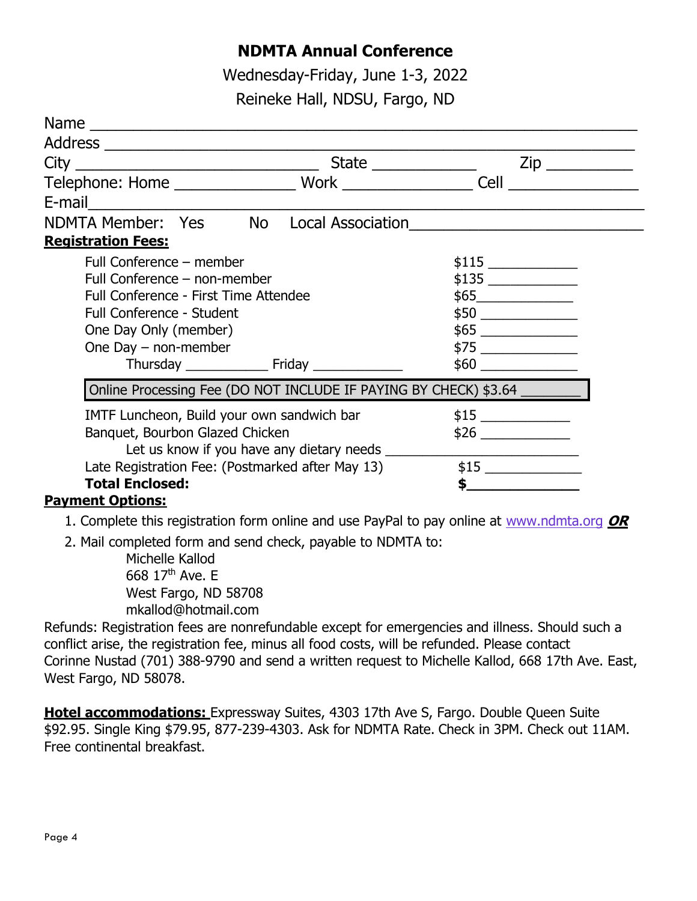## **NDMTA Annual Conference**

Wednesday-Friday, June 1-3, 2022 Reineke Hall, NDSU, Fargo, ND

|                                                                                                                |  | $\mathsf{Zip} \_\_\_\_\_\_\$                                                                                                                                                                                                         |  |
|----------------------------------------------------------------------------------------------------------------|--|--------------------------------------------------------------------------------------------------------------------------------------------------------------------------------------------------------------------------------------|--|
|                                                                                                                |  |                                                                                                                                                                                                                                      |  |
| E-mail 2008 2010 2011 2022 2023 2024 2022 2023 2024 2022 2023 2024 2022 2023 2024 2022 2023 2024 2025 2026 202 |  |                                                                                                                                                                                                                                      |  |
| NDMTA Member: Yes No Local Association                                                                         |  |                                                                                                                                                                                                                                      |  |
| <b>Registration Fees:</b>                                                                                      |  |                                                                                                                                                                                                                                      |  |
| Full Conference – member                                                                                       |  |                                                                                                                                                                                                                                      |  |
| Full Conference - non-member                                                                                   |  |                                                                                                                                                                                                                                      |  |
| Full Conference - First Time Attendee                                                                          |  | \$65                                                                                                                                                                                                                                 |  |
| <b>Full Conference - Student</b>                                                                               |  |                                                                                                                                                                                                                                      |  |
| One Day Only (member)                                                                                          |  |                                                                                                                                                                                                                                      |  |
| One Day $-$ non-member                                                                                         |  |                                                                                                                                                                                                                                      |  |
|                                                                                                                |  | $$60$                                                                                                                                                                                                                                |  |
| Online Processing Fee (DO NOT INCLUDE IF PAYING BY CHECK) \$3.64 _________                                     |  |                                                                                                                                                                                                                                      |  |
| IMTF Luncheon, Build your own sandwich bar                                                                     |  |                                                                                                                                                                                                                                      |  |
| Banquet, Bourbon Glazed Chicken                                                                                |  |                                                                                                                                                                                                                                      |  |
| Let us know if you have any dietary needs                                                                      |  |                                                                                                                                                                                                                                      |  |
| Late Registration Fee: (Postmarked after May 13)                                                               |  |                                                                                                                                                                                                                                      |  |
| <b>Total Enclosed:</b>                                                                                         |  | <u> 1980 - Jan Stein Stein Stein Stein Stein Stein Stein Stein Stein Stein Stein Stein Stein Stein Stein Stein Stein Stein Stein Stein Stein Stein Stein Stein Stein Stein Stein Stein Stein Stein Stein Stein Stein Stein Stein</u> |  |
| <b>Payment Options:</b>                                                                                        |  |                                                                                                                                                                                                                                      |  |

- 1. Complete this registration form online and use PayPal to pay online at [www.ndmta.org](http://www.ndmta.org) **OR**
- 2. Mail completed form and send check, payable to NDMTA to:

Michelle Kallod 668 17<sup>th</sup> Ave. E West Fargo, ND 58708 mkallod@hotmail.com

Refunds: Registration fees are nonrefundable except for emergencies and illness. Should such a conflict arise, the registration fee, minus all food costs, will be refunded. Please contact Corinne Nustad (701) 388-9790 and send a written request to Michelle Kallod, 668 17th Ave. East, West Fargo, ND 58078.

**Hotel accommodations:** Expressway Suites, 4303 17th Ave S, Fargo. Double Queen Suite \$92.95. Single King \$79.95, 877-239-4303. Ask for NDMTA Rate. Check in 3PM. Check out 11AM. Free continental breakfast.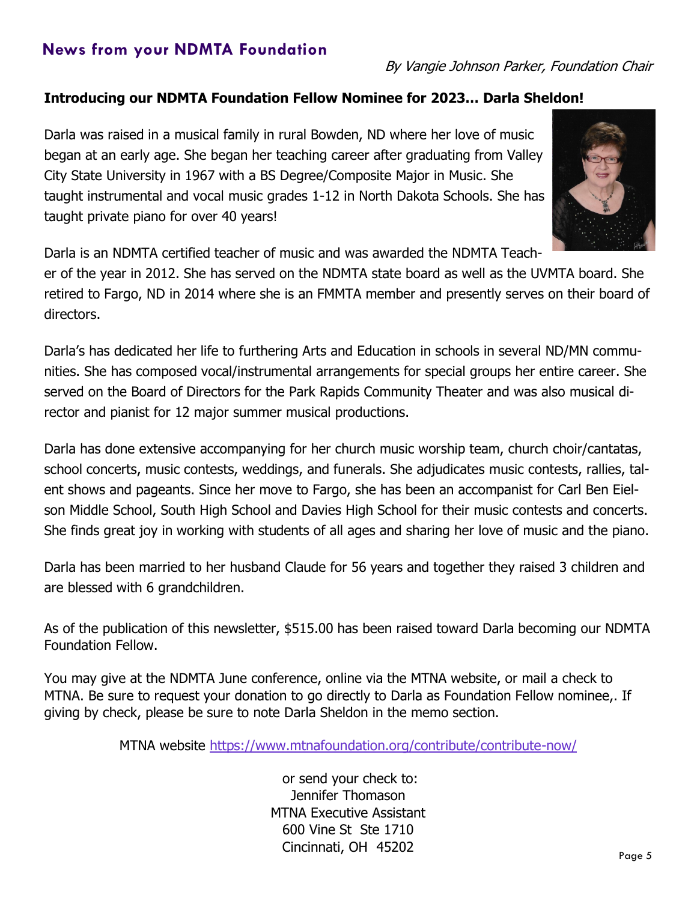## **News from your NDMTA Foundation**

#### **Introducing our NDMTA Foundation Fellow Nominee for 2023… Darla Sheldon!**

Darla was raised in a musical family in rural Bowden, ND where her love of music began at an early age. She began her teaching career after graduating from Valley City State University in 1967 with a BS Degree/Composite Major in Music. She taught instrumental and vocal music grades 1-12 in North Dakota Schools. She has taught private piano for over 40 years!



Darla is an NDMTA certified teacher of music and was awarded the NDMTA Teach-

er of the year in 2012. She has served on the NDMTA state board as well as the UVMTA board. She retired to Fargo, ND in 2014 where she is an FMMTA member and presently serves on their board of directors.

Darla's has dedicated her life to furthering Arts and Education in schools in several ND/MN communities. She has composed vocal/instrumental arrangements for special groups her entire career. She served on the Board of Directors for the Park Rapids Community Theater and was also musical director and pianist for 12 major summer musical productions.

Darla has done extensive accompanying for her church music worship team, church choir/cantatas, school concerts, music contests, weddings, and funerals. She adjudicates music contests, rallies, talent shows and pageants. Since her move to Fargo, she has been an accompanist for Carl Ben Eielson Middle School, South High School and Davies High School for their music contests and concerts. She finds great joy in working with students of all ages and sharing her love of music and the piano.

Darla has been married to her husband Claude for 56 years and together they raised 3 children and are blessed with 6 grandchildren.

As of the publication of this newsletter, \$515.00 has been raised toward Darla becoming our NDMTA Foundation Fellow.

You may give at the NDMTA June conference, online via the MTNA website, or mail a check to MTNA. Be sure to request your donation to go directly to Darla as Foundation Fellow nominee,. If giving by check, please be sure to note Darla Sheldon in the memo section.

MTNA website [https://www.mtnafoundation.org/contribute/contribute](https://www.mtnafoundation.org/contribute/contribute-now/)-now/

or send your check to: Jennifer Thomason MTNA Executive Assistant 600 Vine St Ste 1710 Cincinnati, OH 45202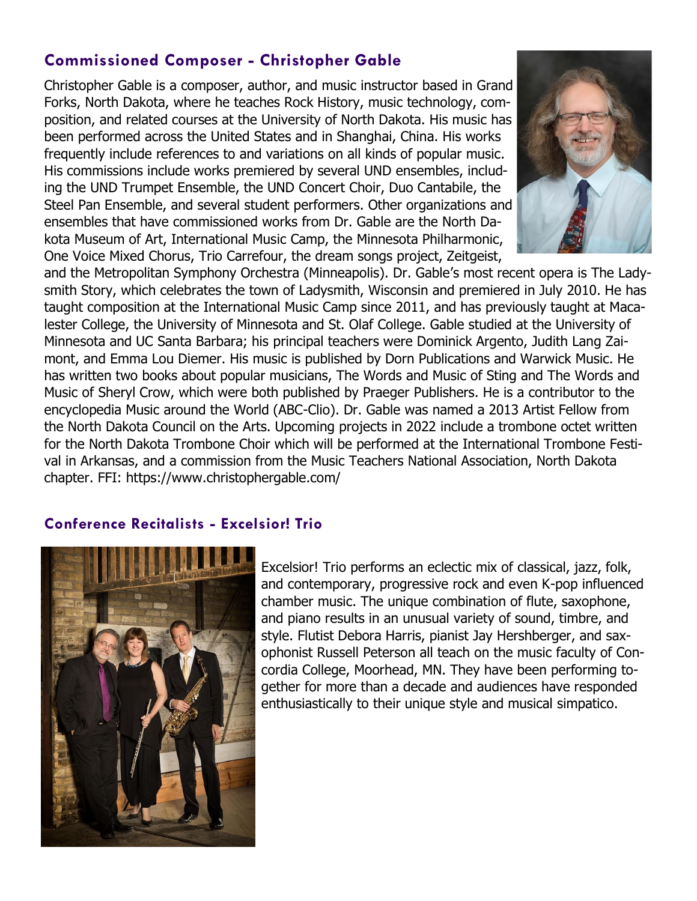## **Commissioned Composer - Christopher Gable**

Christopher Gable is a composer, author, and music instructor based in Grand Forks, North Dakota, where he teaches Rock History, music technology, composition, and related courses at the University of North Dakota. His music has been performed across the United States and in Shanghai, China. His works frequently include references to and variations on all kinds of popular music. His commissions include works premiered by several UND ensembles, including the UND Trumpet Ensemble, the UND Concert Choir, Duo Cantabile, the Steel Pan Ensemble, and several student performers. Other organizations and ensembles that have commissioned works from Dr. Gable are the North Dakota Museum of Art, International Music Camp, the Minnesota Philharmonic, One Voice Mixed Chorus, Trio Carrefour, the dream songs project, Zeitgeist,



and the Metropolitan Symphony Orchestra (Minneapolis). Dr. Gable's most recent opera is The Ladysmith Story, which celebrates the town of Ladysmith, Wisconsin and premiered in July 2010. He has taught composition at the International Music Camp since 2011, and has previously taught at Macalester College, the University of Minnesota and St. Olaf College. Gable studied at the University of Minnesota and UC Santa Barbara; his principal teachers were Dominick Argento, Judith Lang Zaimont, and Emma Lou Diemer. His music is published by Dorn Publications and Warwick Music. He has written two books about popular musicians, The Words and Music of Sting and The Words and Music of Sheryl Crow, which were both published by Praeger Publishers. He is a contributor to the encyclopedia Music around the World (ABC-Clio). Dr. Gable was named a 2013 Artist Fellow from the North Dakota Council on the Arts. Upcoming projects in 2022 include a trombone octet written for the North Dakota Trombone Choir which will be performed at the International Trombone Festival in Arkansas, and a commission from the Music Teachers National Association, North Dakota chapter. FFI: https://www.christophergable.com/

#### **Conference Recitalists - Excelsior! Trio**



Excelsior! Trio performs an eclectic mix of classical, jazz, folk, and contemporary, progressive rock and even K-pop influenced chamber music. The unique combination of flute, saxophone, and piano results in an unusual variety of sound, timbre, and style. Flutist Debora Harris, pianist Jay Hershberger, and saxophonist Russell Peterson all teach on the music faculty of Concordia College, Moorhead, MN. They have been performing together for more than a decade and audiences have responded enthusiastically to their unique style and musical simpatico.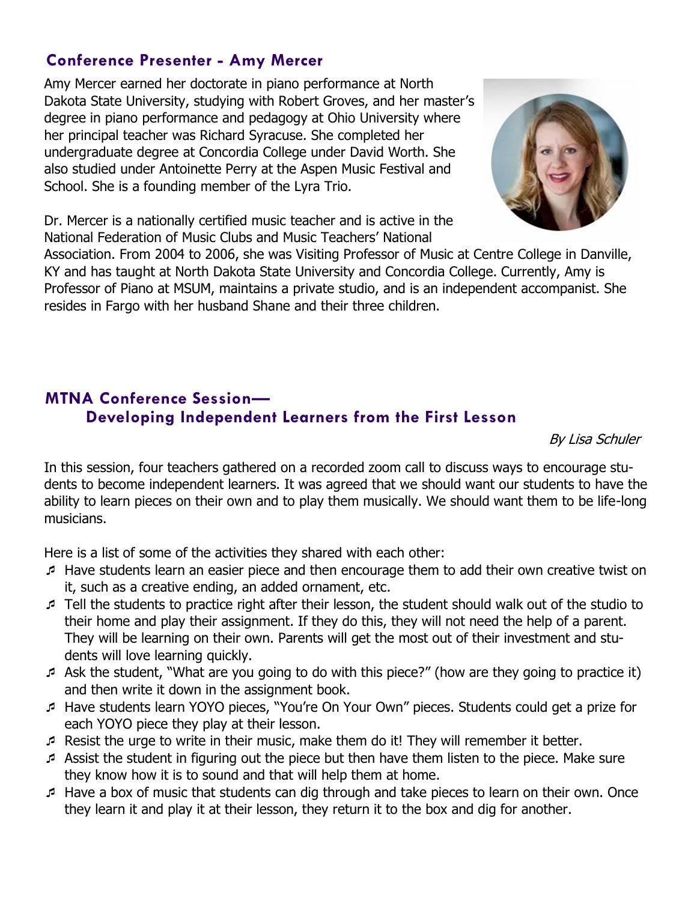## **Conference Presenter - Amy Mercer**

Amy Mercer earned her doctorate in piano performance at North Dakota State University, studying with Robert Groves, and her master's degree in piano performance and pedagogy at Ohio University where her principal teacher was Richard Syracuse. She completed her undergraduate degree at Concordia College under David Worth. She also studied under Antoinette Perry at the Aspen Music Festival and School. She is a founding member of the Lyra Trio.



Dr. Mercer is a nationally certified music teacher and is active in the National Federation of Music Clubs and Music Teachers' National

Association. From 2004 to 2006, she was Visiting Professor of Music at Centre College in Danville, KY and has taught at North Dakota State University and Concordia College. Currently, Amy is Professor of Piano at MSUM, maintains a private studio, and is an independent accompanist. She resides in Fargo with her husband Shane and their three children.

## **MTNA Conference Session— Developing Independent Learners from the First Lesson**

By Lisa Schuler

In this session, four teachers gathered on a recorded zoom call to discuss ways to encourage students to become independent learners. It was agreed that we should want our students to have the ability to learn pieces on their own and to play them musically. We should want them to be life-long musicians.

Here is a list of some of the activities they shared with each other:

- Have students learn an easier piece and then encourage them to add their own creative twist on it, such as a creative ending, an added ornament, etc.
- Tell the students to practice right after their lesson, the student should walk out of the studio to their home and play their assignment. If they do this, they will not need the help of a parent. They will be learning on their own. Parents will get the most out of their investment and students will love learning quickly.
- Ask the student, "What are you going to do with this piece?" (how are they going to practice it) and then write it down in the assignment book.
- Have students learn YOYO pieces, "You're On Your Own" pieces. Students could get a prize for each YOYO piece they play at their lesson.
- Resist the urge to write in their music, make them do it! They will remember it better.
- Assist the student in figuring out the piece but then have them listen to the piece. Make sure they know how it is to sound and that will help them at home.
- Have a box of music that students can dig through and take pieces to learn on their own. Once they learn it and play it at their lesson, they return it to the box and dig for another.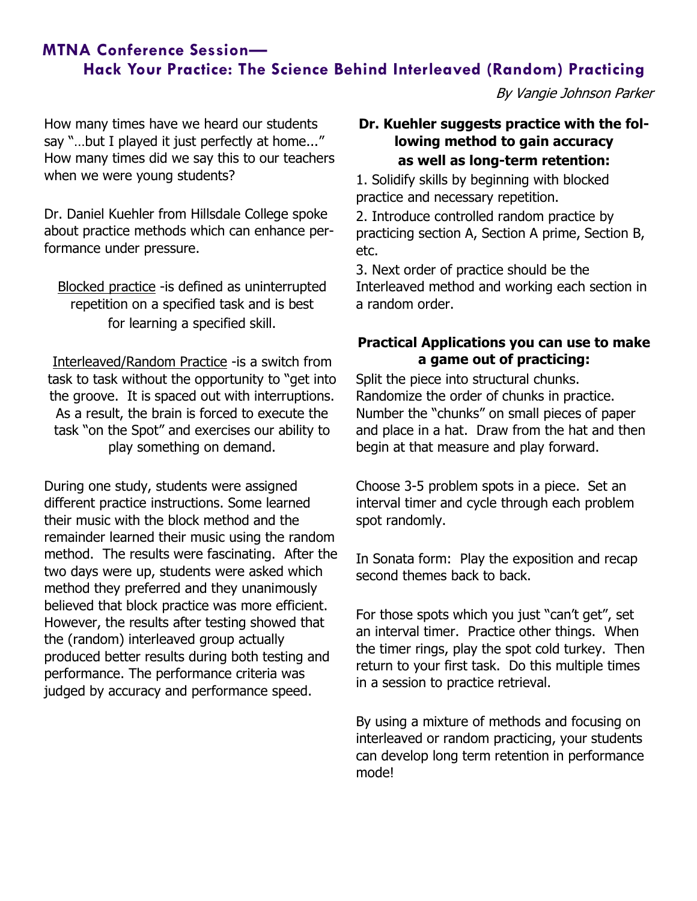## **MTNA Conference Session— Hack Your Practice: The Science Behind Interleaved (Random) Practicing**

By Vangie Johnson Parker

How many times have we heard our students say "…but I played it just perfectly at home..." How many times did we say this to our teachers when we were young students?

Dr. Daniel Kuehler from Hillsdale College spoke about practice methods which can enhance performance under pressure.

Blocked practice - is defined as uninterrupted repetition on a specified task and is best for learning a specified skill.

Interleaved/Random Practice -is a switch from task to task without the opportunity to "get into the groove. It is spaced out with interruptions. As a result, the brain is forced to execute the task "on the Spot" and exercises our ability to play something on demand.

During one study, students were assigned different practice instructions. Some learned their music with the block method and the remainder learned their music using the random method. The results were fascinating. After the two days were up, students were asked which method they preferred and they unanimously believed that block practice was more efficient. However, the results after testing showed that the (random) interleaved group actually produced better results during both testing and performance. The performance criteria was judged by accuracy and performance speed.

#### **Dr. Kuehler suggests practice with the following method to gain accuracy as well as long-term retention:**

1. Solidify skills by beginning with blocked practice and necessary repetition.

2. Introduce controlled random practice by practicing section A, Section A prime, Section B, etc.

3. Next order of practice should be the Interleaved method and working each section in a random order.

## **Practical Applications you can use to make a game out of practicing:**

Split the piece into structural chunks. Randomize the order of chunks in practice. Number the "chunks" on small pieces of paper and place in a hat. Draw from the hat and then begin at that measure and play forward.

Choose 3-5 problem spots in a piece. Set an interval timer and cycle through each problem spot randomly.

In Sonata form: Play the exposition and recap second themes back to back.

For those spots which you just "can't get", set an interval timer. Practice other things. When the timer rings, play the spot cold turkey. Then return to your first task. Do this multiple times in a session to practice retrieval.

By using a mixture of methods and focusing on interleaved or random practicing, your students can develop long term retention in performance mode!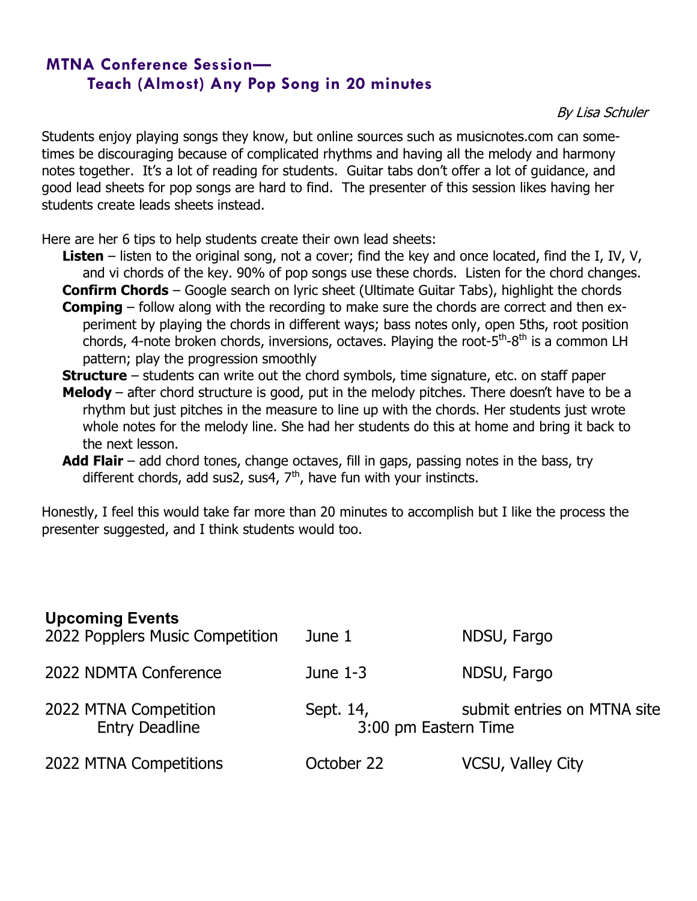## **MTNA Conference Session— Teach (Almost) Any Pop Song in 20 minutes**

By Lisa Schuler

Students enjoy playing songs they know, but online sources such as musicnotes.com can sometimes be discouraging because of complicated rhythms and having all the melody and harmony notes together. It's a lot of reading for students. Guitar tabs don't offer a lot of guidance, and good lead sheets for pop songs are hard to find. The presenter of this session likes having her students create leads sheets instead.

Here are her 6 tips to help students create their own lead sheets:

- **Listen** listen to the original song, not a cover; find the key and once located, find the I, IV, V, and vi chords of the key. 90% of pop songs use these chords. Listen for the chord changes.
- **Confirm Chords** Google search on lyric sheet (Ultimate Guitar Tabs), highlight the chords **Comping** – follow along with the recording to make sure the chords are correct and then experiment by playing the chords in different ways; bass notes only, open 5ths, root position chords, 4-note broken chords, inversions, octaves. Playing the root-5<sup>th</sup>-8<sup>th</sup> is a common LH pattern; play the progression smoothly

**Structure** – students can write out the chord symbols, time signature, etc. on staff paper

- **Melody**  after chord structure is good, put in the melody pitches. There doesn't have to be a rhythm but just pitches in the measure to line up with the chords. Her students just wrote whole notes for the melody line. She had her students do this at home and bring it back to the next lesson.
- **Add Flair** add chord tones, change octaves, fill in gaps, passing notes in the bass, try different chords, add sus2, sus4,  $7<sup>th</sup>$ , have fun with your instincts.

Honestly, I feel this would take far more than 20 minutes to accomplish but I like the process the presenter suggested, and I think students would too.

| <b>Upcoming Events</b><br>2022 Popplers Music Competition | June 1                            | NDSU, Fargo                 |
|-----------------------------------------------------------|-----------------------------------|-----------------------------|
| 2022 NDMTA Conference                                     | June $1-3$                        | NDSU, Fargo                 |
| 2022 MTNA Competition<br><b>Entry Deadline</b>            | Sept. 14,<br>3:00 pm Eastern Time | submit entries on MTNA site |
| 2022 MTNA Competitions                                    | October 22                        | VCSU, Valley City           |